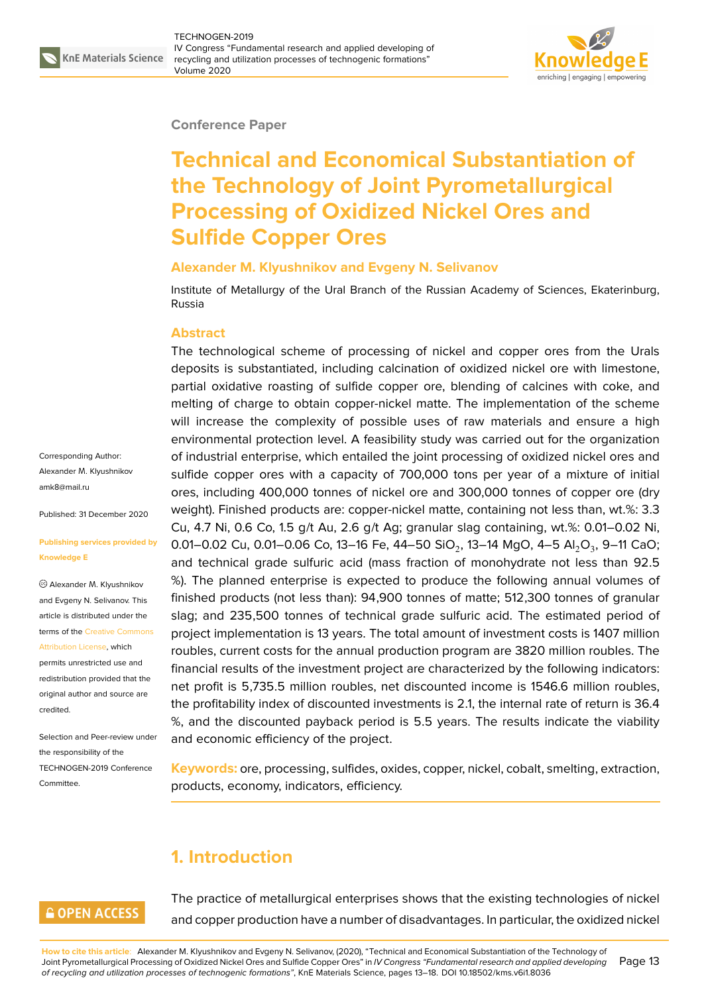

#### **Conference Paper**

# **Technical and Economical Substantiation of the Technology of Joint Pyrometallurgical Processing of Oxidized Nickel Ores and Sulfide Copper Ores**

#### **Alexander M. Klyushnikov and Evgeny N. Selivanov**

Institute of Metallurgy of the Ural Branch of the Russian Academy of Sciences, Ekaterinburg, Russia

#### **Abstract**

The technological scheme of processing of nickel and copper ores from the Urals deposits is substantiated, including calcination of oxidized nickel ore with limestone, partial oxidative roasting of sulfide copper ore, blending of calcines with coke, and melting of charge to obtain copper-nickel matte. The implementation of the scheme will increase the complexity of possible uses of raw materials and ensure a high environmental protection level. A feasibility study was carried out for the organization of industrial enterprise, which entailed the joint processing of oxidized nickel ores and sulfide copper ores with a capacity of 700,000 tons per year of a mixture of initial ores, including 400,000 tonnes of nickel ore and 300,000 tonnes of copper ore (dry weight). Finished products are: copper-nickel matte, containing not less than, wt.%: 3.3 Cu, 4.7 Ni, 0.6 Co, 1.5 g/t Au, 2.6 g/t Ag; granular slag containing, wt.%: 0.01–0.02 Ni, 0.01–0.02 Cu, 0.01–0.06 Co, 13–16 Fe, 44–50 SiO $_2$ , 13–14 MgO, 4–5 Al $_2$ O $_3$ , 9–11 CaO; and technical grade sulfuric acid (mass fraction of monohydrate not less than 92.5 %). The planned enterprise is expected to produce the following annual volumes of finished products (not less than): 94,900 tonnes of matte; 512,300 tonnes of granular slag; and 235,500 tonnes of technical grade sulfuric acid. The estimated period of project implementation is 13 years. The total amount of investment costs is 1407 million roubles, current costs for the annual production program are 3820 million roubles. The financial results of the investment project are characterized by the following indicators: net profit is 5,735.5 million roubles, net discounted income is 1546.6 million roubles, the profitability index of discounted investments is 2.1, the internal rate of return is 36.4 %, and the discounted payback period is 5.5 years. The results indicate the viability and economic efficiency of the project.

**Keywords:** ore, processing, sulfides, oxides, copper, nickel, cobalt, smelting, extraction, products, economy, indicators, efficiency.

## **1. Introduction**

### **GOPEN ACCESS**

The practice of metallurgical enterprises shows that the existing technologies of nickel and copper production have a number of disadvantages. In particular, the oxidized nickel

**How to cite this article**: Alexander M. Klyushnikov and Evgeny N. Selivanov, (2020), "Technical and Economical Substantiation of the Technology of Joint Pyrometallurgical Processing of Oxidized Nickel Ores and Sulfide Copper Ores" in *IV Congress "Fundamental research and applied developing of recycling and utilization processes of technogenic formations"*, KnE Materials Science, pages 13–18. DOI 10.18502/kms.v6i1.8036 Page 13

Corresponding Author: Alexander М. Klyushnikov amk8@mail.ru

Published: 31 December 2020

#### **[Publishing ser](mailto:amk8@mail.ru)vices provided by Knowledge E**

Alexander М. Klyushnikov and Evgeny N. Selivanov. This article is distributed under the terms of the Creative Commons

Attribution License, which permits unrestricted use and redistribution provided that the original auth[or and source are](https://creativecommons.org/licenses/by/4.0/) [credited.](https://creativecommons.org/licenses/by/4.0/)

Selection and Peer-review under the responsibility of the TECHNOGEN-2019 Conference Committee.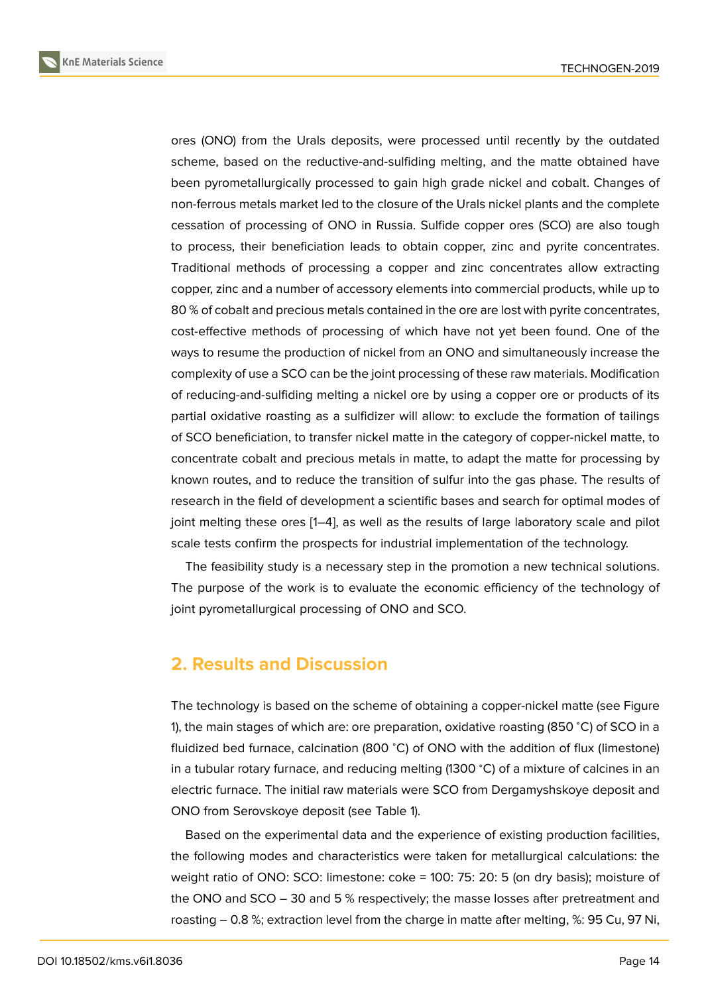ores (ONO) from the Urals deposits, were processed until recently by the outdated scheme, based on the reductive-and-sulfiding melting, and the matte obtained have been pyrometallurgically processed to gain high grade nickel and cobalt. Changes of non-ferrous metals market led to the closure of the Urals nickel plants and the complete cessation of processing of ONO in Russia. Sulfide copper ores (SCO) are also tough to process, their beneficiation leads to obtain copper, zinc and pyrite concentrates. Traditional methods of processing a copper and zinc concentrates allow extracting copper, zinc and a number of accessory elements into commercial products, while up to 80 % of cobalt and precious metals contained in the ore are lost with pyrite concentrates, cost-effective methods of processing of which have not yet been found. One of the ways to resume the production of nickel from an ONO and simultaneously increase the complexity of use a SCO can be the joint processing of these raw materials. Modification of reducing-and-sulfiding melting a nickel ore by using a copper ore or products of its partial oxidative roasting as a sulfidizer will allow: to exclude the formation of tailings of SCO beneficiation, to transfer nickel matte in the category of copper-nickel matte, to concentrate cobalt and precious metals in matte, to adapt the matte for processing by known routes, and to reduce the transition of sulfur into the gas phase. The results of research in the field of development a scientific bases and search for optimal modes of joint melting these ores [1–4], as well as the results of large laboratory scale and pilot scale tests confirm the prospects for industrial implementation of the technology.

The feasibility study is a necessary step in the promotion a new technical solutions. The purpose of the wor[k](#page-5-0) i[s](#page-5-1) to evaluate the economic efficiency of the technology of joint pyrometallurgical processing of ONO and SCO.

### **2. Results and Discussion**

The technology is based on the scheme of obtaining a copper-nickel matte (see Figure 1), the main stages of which are: ore preparation, oxidative roasting (850 <sup>∘</sup>C) of SCO in a fluidized bed furnace, calcination (800 <sup>∘</sup>C) of ONO with the addition of flux (limestone) in a tubular rotary furnace, and reducing melting (1300 <sup>∘</sup>C) of a mixture of calcines in an [e](#page-2-0)lectric furnace. The initial raw materials were SCO from Dergamyshskoye deposit and ONO from Serovskoye deposit (see Table 1).

Based on the experimental data and the experience of existing production facilities, the following modes and characteristics were taken for metallurgical calculations: the weight ratio of ONO: SCO: limestone: coke = 100: 75: 20: 5 (on dry basis); moisture of the ONO and SCO – 30 and 5 % respectively; the masse losses after pretreatment and roasting – 0.8 %; extraction level from the charge in matte after melting, %: 95 Cu, 97 Ni,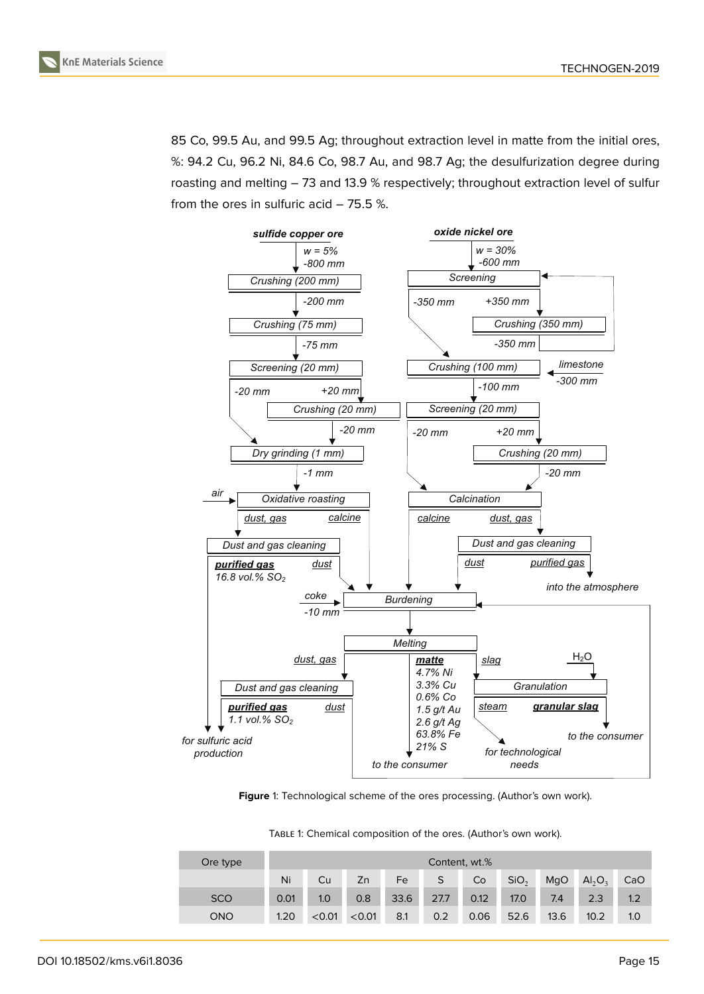

85 Co, 99.5 Au, and 99.5 Ag; throughout extraction level in matte from the initial ores, %: 94.2 Cu, 96.2 Ni, 84.6 Co, 98.7 Au, and 98.7 Ag; the desulfurization degree during roasting and melting – 73 and 13.9 % respectively; throughout extraction level of sulfur from the ores in sulfuric acid – 75.5 %.



Figure 1: Technological scheme of the ores processing. (Author's own work).

<span id="page-2-0"></span>

| TABLE 1: Chemical composition of the ores. (Author's own work). |  |  |  |  |
|-----------------------------------------------------------------|--|--|--|--|
|-----------------------------------------------------------------|--|--|--|--|

| Ore type   | Content, wt.% |        |        |      |      |      |                  |      |                                |     |
|------------|---------------|--------|--------|------|------|------|------------------|------|--------------------------------|-----|
|            | Ni            | Cu     | Zn     | Fe   | S    | Co   | SiO <sub>2</sub> | MgO  | AI <sub>2</sub> O <sub>3</sub> | CaO |
| <b>SCO</b> | 0.01          | 1.0    | 0.8    | 33.6 | 27.7 | 0.12 | 17.0             | 7.4  | 2.3                            | 1.2 |
| <b>ONO</b> | 1.20          | < 0.01 | < 0.01 | 8.1  | 0.2  | 0.06 | 52.6             | 13.6 | 10.2                           | 1.0 |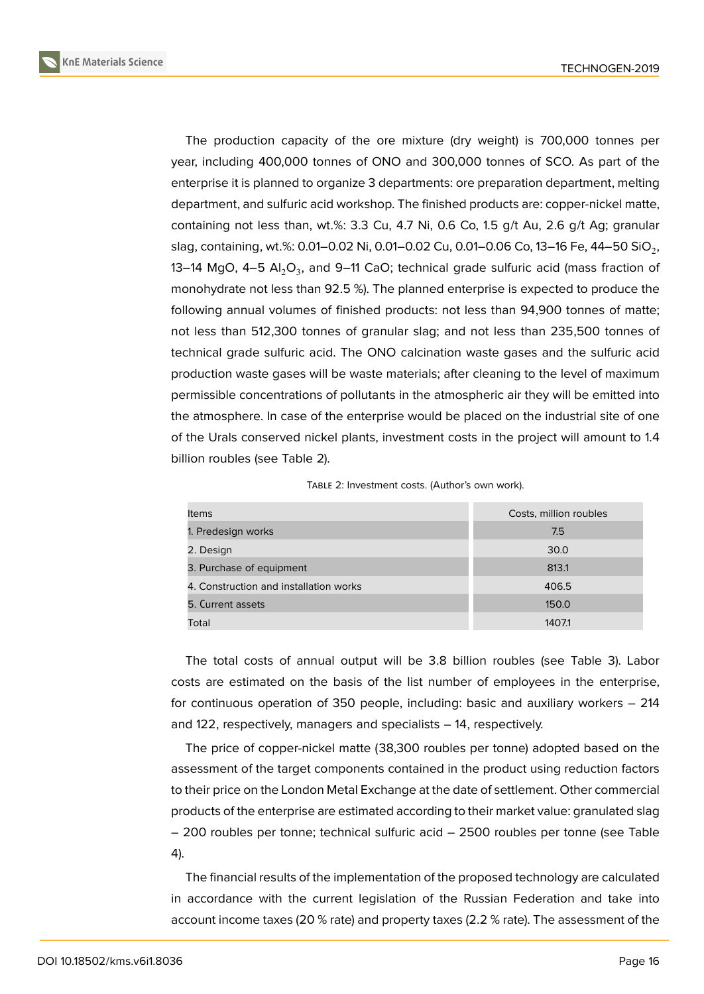**KnE Materials Science**



The production capacity of the ore mixture (dry weight) is 700,000 tonnes per year, including 400,000 tonnes of ONO and 300,000 tonnes of SCO. As part of the enterprise it is planned to organize 3 departments: ore preparation department, melting department, and sulfuric acid workshop. The finished products are: copper-nickel matte, containing not less than, wt.%: 3.3 Cu, 4.7 Ni, 0.6 Co, 1.5 g/t Au, 2.6 g/t Ag; granular slag, containing, wt.%: 0.01–0.02 Ni, 0.01–0.02 Cu, 0.01–0.06 Co, 13–16 Fe, 44–50 SiO $_{\rm 2}$ , 13–14 MgO, 4–5  $\mathsf{Al}_2\mathsf{O}_3$ , and 9–11 CaO; technical grade sulfuric acid (mass fraction of monohydrate not less than 92.5 %). The planned enterprise is expected to produce the following annual volumes of finished products: not less than 94,900 tonnes of matte; not less than 512,300 tonnes of granular slag; and not less than 235,500 tonnes of technical grade sulfuric acid. The ONO calcination waste gases and the sulfuric acid production waste gases will be waste materials; after cleaning to the level of maximum permissible concentrations of pollutants in the atmospheric air they will be emitted into the atmosphere. In case of the enterprise would be placed on the industrial site of one of the Urals conserved nickel plants, investment costs in the project will amount to 1.4 billion roubles (see Table 2).

| <b>Items</b>                           | Costs, million roubles |
|----------------------------------------|------------------------|
| 1. Predesign works                     | 7.5                    |
| 2. Design                              | 30.0                   |
| 3. Purchase of equipment               | 813.1                  |
| 4. Construction and installation works | 406.5                  |
| 5. Current assets                      | 150.0                  |

Total 1407.1

TABLE 2: Investment costs. (Author's own work).

The total costs of annual output will be 3.8 billion roubles (see Table 3). Labor costs are estimated on the basis of the list number of employees in the enterprise, for continuous operation of 350 people, including: basic and auxiliary workers – 214 and 122, respectively, managers and specialists – 14, respectively.

The price of copper-nickel matte (38,300 roubles per tonne) adopted based on the assessment of the target components contained in the product using reduction factors to their price on the London Metal Exchange at the date of settlement. Other commercial products of the enterprise are estimated according to their market value: granulated slag – 200 roubles per tonne; technical sulfuric acid – 2500 roubles per tonne (see Table 4).

The financial results of the implementation of the proposed technology are calculated in accordance with the current legislation of the Russian Federation and take into account income taxes (20 % rate) and property taxes (2.2 % rate). The assessment of the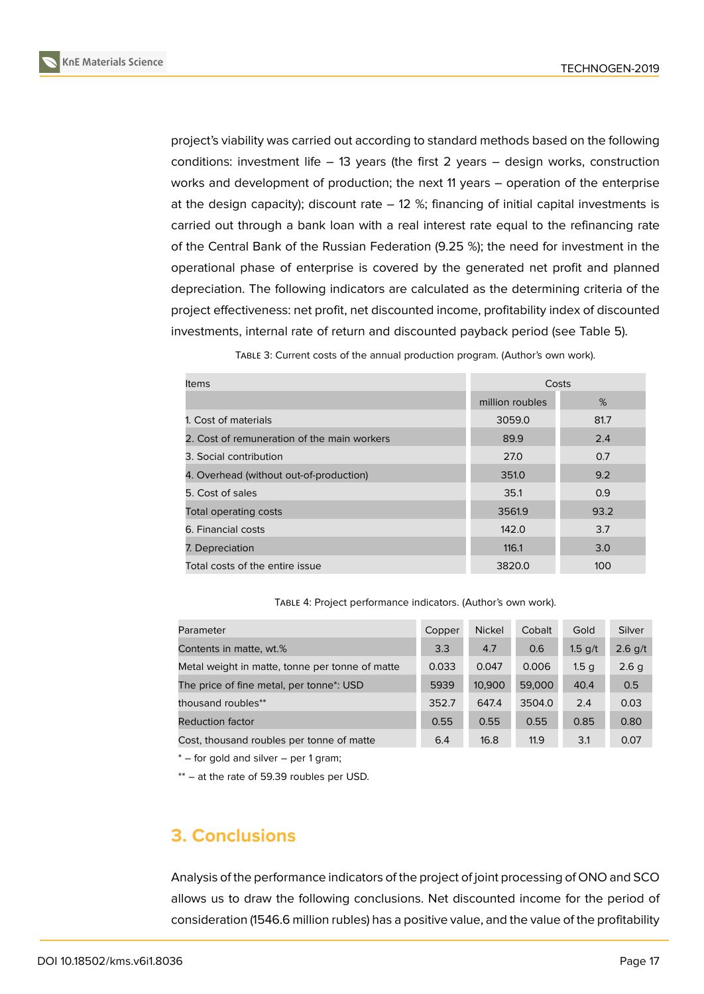

project's viability was carried out according to standard methods based on the following conditions: investment life – 13 years (the first 2 years – design works, construction works and development of production; the next 11 years – operation of the enterprise at the design capacity); discount rate  $-12$  %; financing of initial capital investments is carried out through a bank loan with a real interest rate equal to the refinancing rate of the Central Bank of the Russian Federation (9.25 %); the need for investment in the operational phase of enterprise is covered by the generated net profit and planned depreciation. The following indicators are calculated as the determining criteria of the project effectiveness: net profit, net discounted income, profitability index of discounted investments, internal rate of return and discounted payback period (see Table 5).

TABLE 3: Current costs of the annual production program. (Author's own work).

| ltems                                       | Costs           |      |
|---------------------------------------------|-----------------|------|
|                                             | million roubles | %    |
| 1. Cost of materials                        | 3059.0          | 81.7 |
| 2. Cost of remuneration of the main workers | 89.9            | 2.4  |
| 3. Social contribution                      | 27.0            | 0.7  |
| 4. Overhead (without out-of-production)     | 351.0           | 9.2  |
| 5. Cost of sales                            | 35.1            | 0.9  |
| Total operating costs                       | 3561.9          | 93.2 |
| 6. Financial costs                          | 142.0           | 3.7  |
| 7. Depreciation                             | 116.1           | 3.0  |
| Total costs of the entire issue             | 3820.0          | 100  |

TABLE 4: Project performance indicators. (Author's own work).

| Parameter                                             | Copper | <b>Nickel</b> | Cobalt | Gold             | Silver    |
|-------------------------------------------------------|--------|---------------|--------|------------------|-----------|
| Contents in matte, wt.%                               | 3.3    | 4.7           | 0.6    | $1.5$ g/t        | $2.6$ g/t |
| Metal weight in matte, tonne per tonne of matte       | 0.033  | 0.047         | 0.006  | 1.5 <sub>q</sub> | 2.6q      |
| The price of fine metal, per tonne <sup>*</sup> : USD | 5939   | 10,900        | 59,000 | 40.4             | 0.5       |
| thousand roubles**                                    | 352.7  | 647.4         | 3504.0 | 2.4              | 0.03      |
| Reduction factor                                      | 0.55   | 0.55          | 0.55   | 0.85             | 0.80      |
| Cost, thousand roubles per tonne of matte             | 6.4    | 16.8          | 11.9   | 3.1              | 0.07      |

\* – for gold and silver – per 1 gram;

\*\* – at the rate of 59.39 roubles per USD.

### **3. Conclusions**

Analysis of the performance indicators of the project of joint processing of ONO and SCO allows us to draw the following conclusions. Net discounted income for the period of consideration (1546.6 million rubles) has a positive value, and the value of the profitability